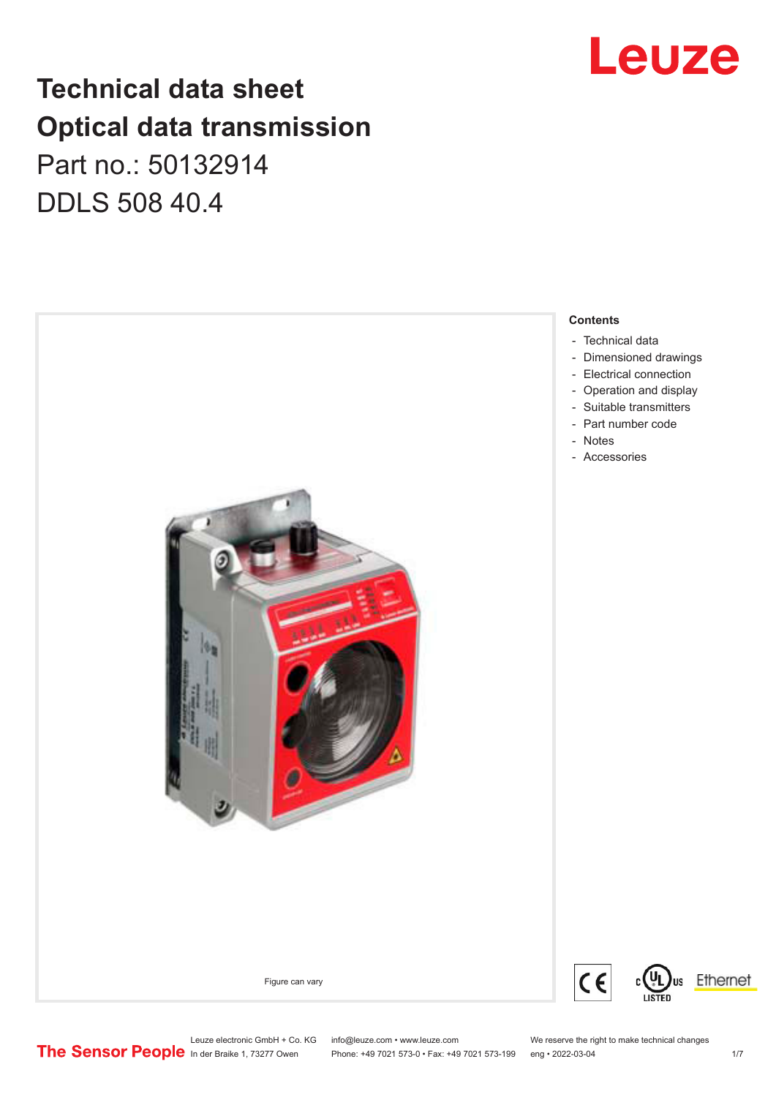## Leuze

### **Technical data sheet Optical data transmission**

Part no.: 50132914 DDLS 508 40.4



Leuze electronic GmbH + Co. KG info@leuze.com • www.leuze.com We reserve the right to make technical changes<br>
The Sensor People in der Braike 1, 73277 Owen Phone: +49 7021 573-0 • Fax: +49 7021 573-199 eng • 2022-03-04

Phone: +49 7021 573-0 • Fax: +49 7021 573-199 eng • 2022-03-04 1/7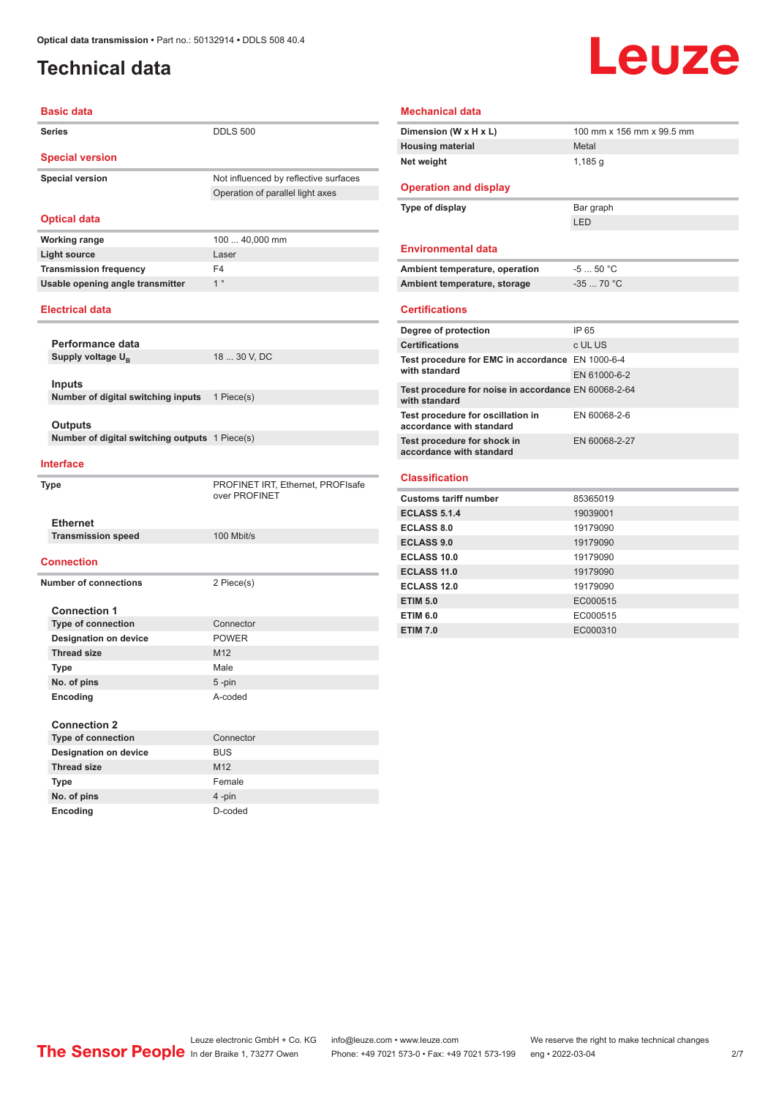#### <span id="page-1-0"></span>**Technical data**

# **Leuze**

| <b>Basic data</b>                                 |                                                    |  |  |  |
|---------------------------------------------------|----------------------------------------------------|--|--|--|
| <b>Series</b>                                     | <b>DDLS 500</b>                                    |  |  |  |
| <b>Special version</b>                            |                                                    |  |  |  |
| <b>Special version</b>                            | Not influenced by reflective surfaces              |  |  |  |
|                                                   | Operation of parallel light axes                   |  |  |  |
| <b>Optical data</b>                               |                                                    |  |  |  |
| <b>Working range</b>                              | 100  40,000 mm                                     |  |  |  |
| <b>Light source</b>                               | Laser                                              |  |  |  |
| <b>Transmission frequency</b>                     | F <sub>4</sub>                                     |  |  |  |
| Usable opening angle transmitter                  | 1 <sup>°</sup>                                     |  |  |  |
| <b>Electrical data</b>                            |                                                    |  |  |  |
|                                                   |                                                    |  |  |  |
| Performance data<br>Supply voltage U <sub>R</sub> | 18  30 V, DC                                       |  |  |  |
|                                                   |                                                    |  |  |  |
| <b>Inputs</b>                                     |                                                    |  |  |  |
| Number of digital switching inputs                | 1 Piece(s)                                         |  |  |  |
|                                                   |                                                    |  |  |  |
| <b>Outputs</b>                                    |                                                    |  |  |  |
| Number of digital switching outputs 1 Piece(s)    |                                                    |  |  |  |
| <b>Interface</b>                                  |                                                    |  |  |  |
| Type                                              | PROFINET IRT, Ethernet, PROFIsafe<br>over PROFINET |  |  |  |
| <b>Ethernet</b>                                   |                                                    |  |  |  |
| <b>Transmission speed</b>                         | 100 Mbit/s                                         |  |  |  |
| <b>Connection</b>                                 |                                                    |  |  |  |
| <b>Number of connections</b>                      | 2 Piece(s)                                         |  |  |  |
|                                                   |                                                    |  |  |  |
| <b>Connection 1</b><br><b>Type of connection</b>  | Connector                                          |  |  |  |
| <b>Designation on device</b>                      | <b>POWER</b>                                       |  |  |  |
| <b>Thread size</b>                                | M12                                                |  |  |  |
| <b>Type</b>                                       | Male                                               |  |  |  |
| No. of pins                                       | 5-pin                                              |  |  |  |
| Encoding                                          | A-coded                                            |  |  |  |
|                                                   |                                                    |  |  |  |
| <b>Connection 2</b>                               |                                                    |  |  |  |
| <b>Type of connection</b>                         |                                                    |  |  |  |
|                                                   | Connector                                          |  |  |  |
| <b>Designation on device</b>                      | <b>BUS</b>                                         |  |  |  |
| <b>Thread size</b><br>Type                        | M <sub>12</sub><br>Female                          |  |  |  |

| <b>Mechanical data</b>                                                |               |  |  |
|-----------------------------------------------------------------------|---------------|--|--|
| 100 mm x 156 mm x 99.5 mm<br>Dimension (W x H x L)                    |               |  |  |
| <b>Housing material</b>                                               | Metal         |  |  |
| Net weight                                                            | 1,185q        |  |  |
| <b>Operation and display</b>                                          |               |  |  |
| Type of display                                                       | Bar graph     |  |  |
|                                                                       | I FD          |  |  |
| <b>Environmental data</b>                                             |               |  |  |
| Ambient temperature, operation                                        | $-550 °C$     |  |  |
| Ambient temperature, storage                                          | $-3570 °C$    |  |  |
| <b>Certifications</b>                                                 |               |  |  |
| Degree of protection                                                  | IP 65         |  |  |
| <b>Certifications</b>                                                 | c UL US       |  |  |
| Test procedure for EMC in accordance EN 1000-6-4<br>with standard     | EN 61000-6-2  |  |  |
| Test procedure for noise in accordance EN 60068-2-64<br>with standard |               |  |  |
| Test procedure for oscillation in<br>accordance with standard         | EN 60068-2-6  |  |  |
| Test procedure for shock in<br>accordance with standard               | EN 60068-2-27 |  |  |
| <b>Classification</b>                                                 |               |  |  |
| <b>Customs tariff number</b>                                          | 85365019      |  |  |
| <b>ECLASS 5.1.4</b>                                                   | 19039001      |  |  |
| <b>ECLASS 8.0</b>                                                     | 19179090      |  |  |
| <b>ECLASS 9.0</b>                                                     | 19179090      |  |  |

| <b>ECLASS 8.0</b>  | 19179090 |
|--------------------|----------|
| <b>ECLASS 9.0</b>  | 19179090 |
| <b>ECLASS 10.0</b> | 19179090 |
| <b>ECLASS 11.0</b> | 19179090 |
| <b>ECLASS 12.0</b> | 19179090 |
| <b>ETIM 5.0</b>    | EC000515 |
| <b>ETIM 6.0</b>    | EC000515 |
| <b>ETIM 7.0</b>    | EC000310 |

Leuze electronic GmbH + Co. KG info@leuze.com • www.leuze.com We reserve the right to make technical changes<br>
The Sensor People in der Braike 1, 73277 Owen Phone: +49 7021 573-0 • Fax: +49 7021 573-199 eng • 2022-03-04

**No. of pins** 4 -pin **Encoding** D-coded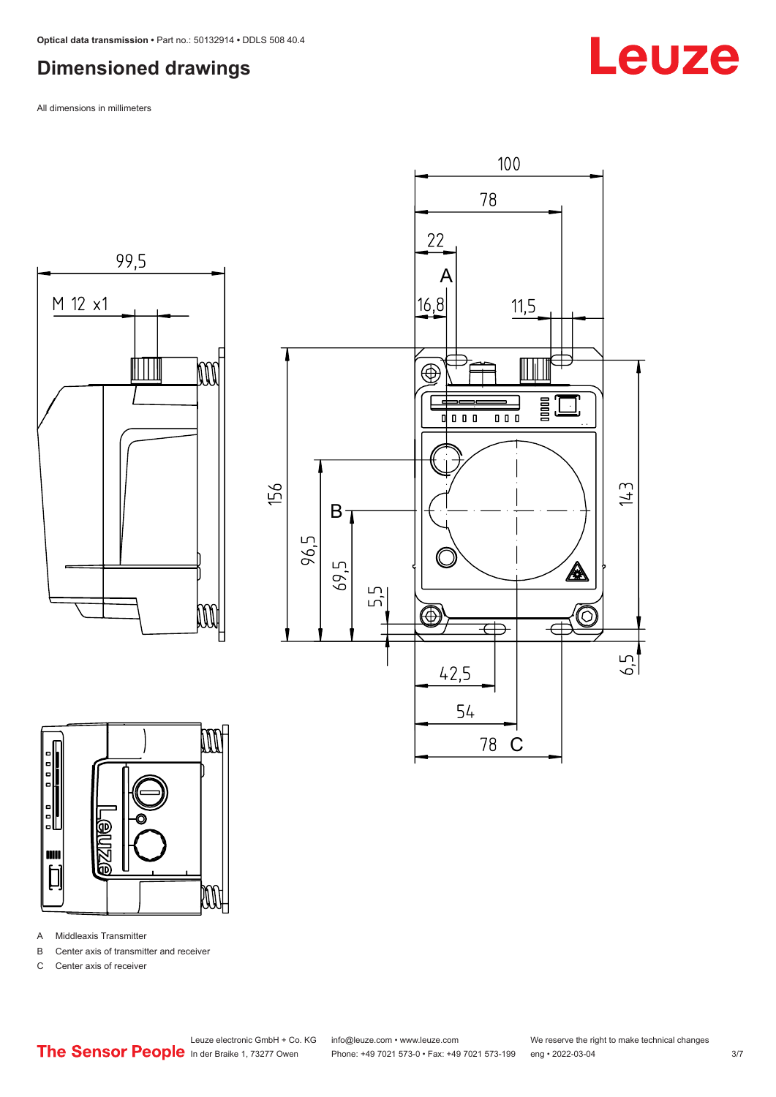#### <span id="page-2-0"></span>**Dimensioned drawings**

All dimensions in millimeters





A Middleaxis Transmitter

B Center axis of transmitter and receiver

C Center axis of receiver



 $\overline{\mathbb{A}}$ 

'6

É

 $143$ 

 $6.5$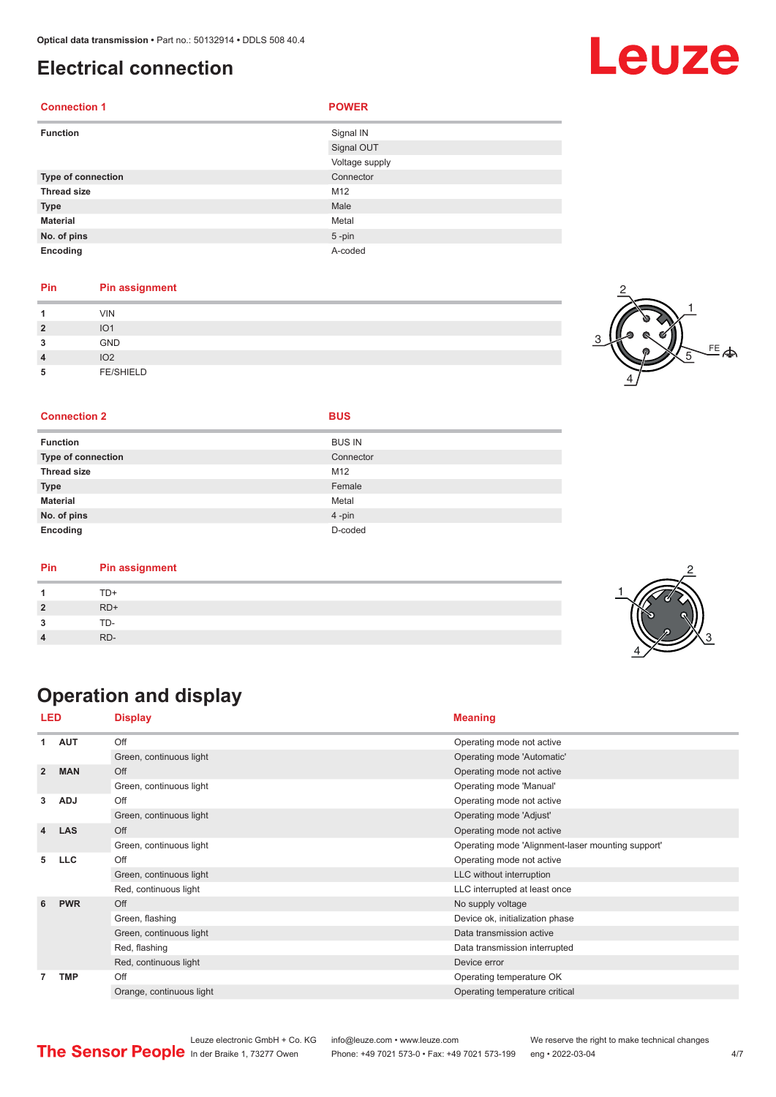#### <span id="page-3-0"></span>**Electrical connection**

| <b>Connection 1</b> | <b>POWER</b>   |
|---------------------|----------------|
| <b>Function</b>     | Signal IN      |
|                     | Signal OUT     |
|                     | Voltage supply |
| Type of connection  | Connector      |
| <b>Thread size</b>  | M12            |
| <b>Type</b>         | Male           |
| <b>Material</b>     | Metal          |
| No. of pins         | $5 - pin$      |
| Encoding            | A-coded        |

#### **Pin Pin assignment**

| и              | <b>VIN</b>       |  |
|----------------|------------------|--|
| $\overline{2}$ | IO <sub>1</sub>  |  |
| 3              | <b>GND</b>       |  |
| $\overline{4}$ | IO <sub>2</sub>  |  |
| 5              | <b>FE/SHIELD</b> |  |



2

3

4

#### **Connection 2 BUS**

| <b>Function</b>           | <b>BUS IN</b> |
|---------------------------|---------------|
| <b>Type of connection</b> | Connector     |
| <b>Thread size</b>        | M12           |
| <b>Type</b>               | Female        |
| <b>Material</b>           | Metal         |
| No. of pins               | 4-pin         |
| Encoding                  | D-coded       |

| TD+<br>$RD+$ |
|--------------|
|              |
|              |
| TD-          |
| RD-          |

### **Operation and display**

| LED            |            | <b>Display</b>           | <b>Meaning</b>                                    |
|----------------|------------|--------------------------|---------------------------------------------------|
| 1              | <b>AUT</b> | Off                      | Operating mode not active                         |
|                |            | Green, continuous light  | Operating mode 'Automatic'                        |
| $\overline{2}$ | <b>MAN</b> | Off                      | Operating mode not active                         |
|                |            | Green, continuous light  | Operating mode 'Manual'                           |
| 3              | <b>ADJ</b> | Off                      | Operating mode not active                         |
|                |            | Green, continuous light  | Operating mode 'Adjust'                           |
| 4              | <b>LAS</b> | Off                      | Operating mode not active                         |
|                |            | Green, continuous light  | Operating mode 'Alignment-laser mounting support' |
| 5              | <b>LLC</b> | Off                      | Operating mode not active                         |
|                |            | Green, continuous light  | LLC without interruption                          |
|                |            | Red, continuous light    | LLC interrupted at least once                     |
| 6              | <b>PWR</b> | Off                      | No supply voltage                                 |
|                |            | Green, flashing          | Device ok, initialization phase                   |
|                |            | Green, continuous light  | Data transmission active                          |
|                |            | Red, flashing            | Data transmission interrupted                     |
|                |            | Red, continuous light    | Device error                                      |
| $\overline{7}$ | <b>TMP</b> | Off                      | Operating temperature OK                          |
|                |            | Orange, continuous light | Operating temperature critical                    |



Leuze electronic GmbH + Co. KG info@leuze.com • www.leuze.com We reserve the right to make technical changes<br>
The Sensor People in der Braike 1, 73277 Owen Phone: +49 7021 573-0 • Fax: +49 7021 573-199 eng • 2022-03-04 Phone: +49 7021 573-0 • Fax: +49 7021 573-199 eng • 2022-03-04 **4/7**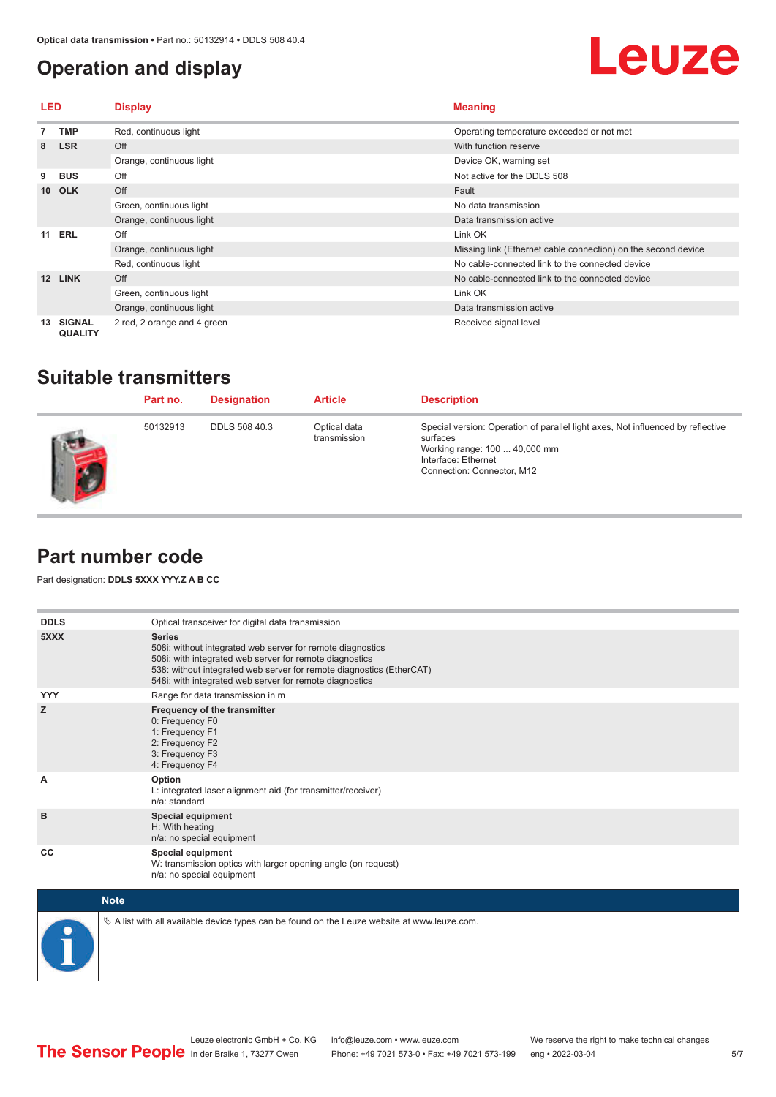#### <span id="page-4-0"></span>**Operation and display**

## **Leuze**

| LED |                                 | <b>Display</b>              | <b>Meaning</b>                                                |  |
|-----|---------------------------------|-----------------------------|---------------------------------------------------------------|--|
|     | TMP                             | Red, continuous light       | Operating temperature exceeded or not met                     |  |
| 8   | <b>LSR</b>                      | Off                         | With function reserve                                         |  |
|     |                                 | Orange, continuous light    | Device OK, warning set                                        |  |
| 9   | <b>BUS</b>                      | Off                         | Not active for the DDLS 508                                   |  |
|     | 10 OLK                          | Off                         | Fault                                                         |  |
|     |                                 | Green, continuous light     | No data transmission                                          |  |
|     |                                 | Orange, continuous light    | Data transmission active                                      |  |
| 11  | ERL                             | Off                         | Link OK                                                       |  |
|     |                                 | Orange, continuous light    | Missing link (Ethernet cable connection) on the second device |  |
|     |                                 | Red, continuous light       | No cable-connected link to the connected device               |  |
| 12  | <b>LINK</b>                     | Off                         | No cable-connected link to the connected device               |  |
|     |                                 | Green, continuous light     | Link OK                                                       |  |
|     |                                 | Orange, continuous light    | Data transmission active                                      |  |
| 13  | <b>SIGNAL</b><br><b>QUALITY</b> | 2 red, 2 orange and 4 green | Received signal level                                         |  |

#### **Suitable transmitters**

| Part no. | <b>Designation</b>   | <b>Article</b>               | <b>Description</b>                                                                                                                                                                |
|----------|----------------------|------------------------------|-----------------------------------------------------------------------------------------------------------------------------------------------------------------------------------|
| 50132913 | <b>DDLS 508 40.3</b> | Optical data<br>transmission | Special version: Operation of parallel light axes, Not influenced by reflective<br>surfaces<br>Working range: 100  40,000 mm<br>Interface: Ethernet<br>Connection: Connector, M12 |

#### **Part number code**

Part designation: **DDLS 5XXX YYY.Z A B CC**

| <b>DDLS</b> | Optical transceiver for digital data transmission                                                                                                                                                                                                                         |
|-------------|---------------------------------------------------------------------------------------------------------------------------------------------------------------------------------------------------------------------------------------------------------------------------|
| 5XXX        | <b>Series</b><br>508i: without integrated web server for remote diagnostics<br>508i: with integrated web server for remote diagnostics<br>538: without integrated web server for remote diagnostics (EtherCAT)<br>548i: with integrated web server for remote diagnostics |
| <b>YYY</b>  | Range for data transmission in m                                                                                                                                                                                                                                          |
| z           | Frequency of the transmitter<br>0: Frequency F0<br>1: Frequency F1<br>2: Frequency F2<br>3: Frequency F3<br>4: Frequency F4                                                                                                                                               |
| A           | Option<br>L: integrated laser alignment aid (for transmitter/receiver)<br>n/a: standard                                                                                                                                                                                   |
| B           | <b>Special equipment</b><br>H: With heating<br>n/a: no special equipment                                                                                                                                                                                                  |
| CC          | <b>Special equipment</b><br>W: transmission optics with larger opening angle (on request)<br>n/a: no special equipment                                                                                                                                                    |

| <b>Note</b>                                                                                  |
|----------------------------------------------------------------------------------------------|
| ∜ A list with all available device types can be found on the Leuze website at www.leuze.com. |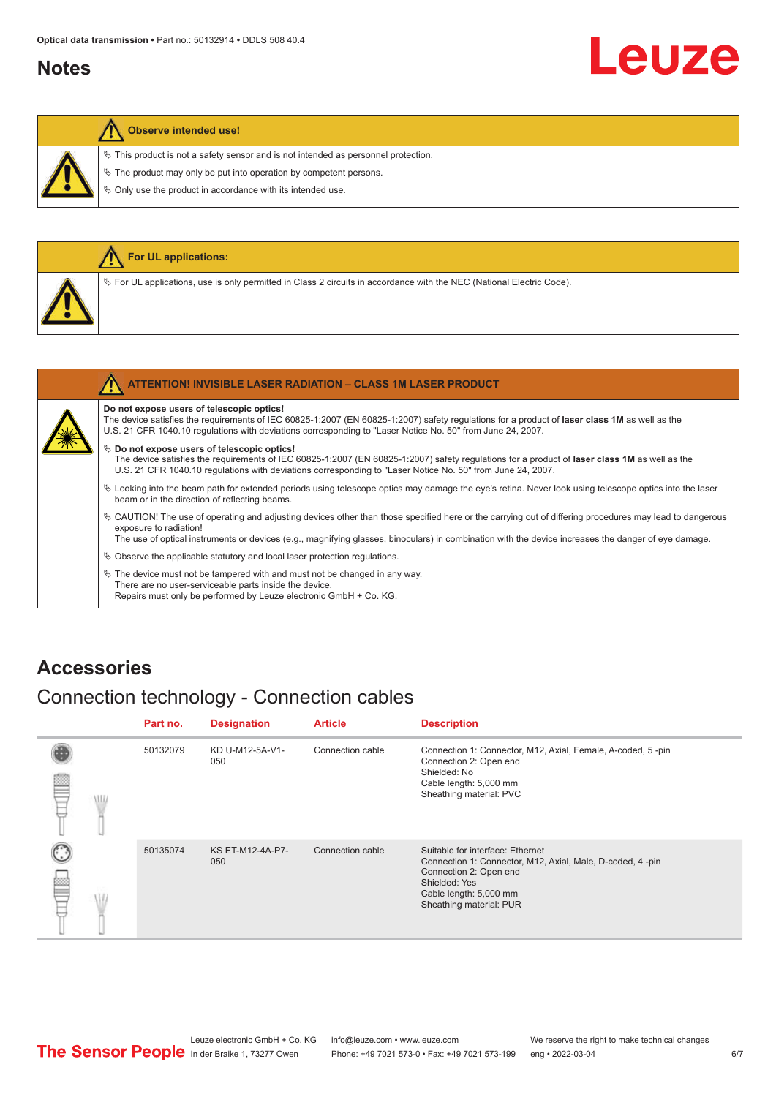#### <span id="page-5-0"></span>**Notes**

# Leuze

#### **Observe intended use!**

 $\%$  This product is not a safety sensor and is not intended as personnel protection.

 $\&$  The product may only be put into operation by competent persons.

 $\%$  Only use the product in accordance with its intended use.

|  | For UL applications:                                                                                                                                                                       |
|--|--------------------------------------------------------------------------------------------------------------------------------------------------------------------------------------------|
|  | $\%$ For UL applications, use is only permitted in Class 2 circuits in accordance with the NEC (National Electric Code).                                                                   |
|  |                                                                                                                                                                                            |
|  | <b>ATTENTION! INVISIBLE LASER RADIATION - CLASS 1M LASER PRODUCT</b>                                                                                                                       |
|  | Do not expose users of telescopic optics!<br>The device satisfies the requirements of IEC 60825-1:2007 (EN 60825-1:2007) safety regulations for a product of laser class 1M as well as the |

#### U.S. 21 CFR 1040.10 regulations with deviations corresponding to "Laser Notice No. 50" from June 24, 2007.

 $\%$  Do not expose users of telescopic optics! The device satisfies the requirements of IEC 60825-1:2007 (EN 60825-1:2007) safety regulations for a product of **laser class 1M** as well as the U.S. 21 CFR 1040.10 regulations with deviations corresponding to "Laser Notice No. 50" from June 24, 2007.

- ª Looking into the beam path for extended periods using telescope optics may damage the eye's retina. Never look using telescope optics into the laser beam or in the direction of reflecting beams.
- ª CAUTION! The use of operating and adjusting devices other than those specified here or the carrying out of differing procedures may lead to dangerous exposure to radiation!

The use of optical instruments or devices (e.g., magnifying glasses, binoculars) in combination with the device increases the danger of eye damage.

 $\%$  Observe the applicable statutory and local laser protection regulations.

 $\%$  The device must not be tampered with and must not be changed in any way. There are no user-serviceable parts inside the device. Repairs must only be performed by Leuze electronic GmbH + Co. KG.

#### **Accessories**

#### Connection technology - Connection cables

|   | Part no. | <b>Designation</b>             | <b>Article</b>   | <b>Description</b>                                                                                                                                                                            |
|---|----------|--------------------------------|------------------|-----------------------------------------------------------------------------------------------------------------------------------------------------------------------------------------------|
| W | 50132079 | KD U-M12-5A-V1-<br>050         | Connection cable | Connection 1: Connector, M12, Axial, Female, A-coded, 5-pin<br>Connection 2: Open end<br>Shielded: No<br>Cable length: 5,000 mm<br>Sheathing material: PVC                                    |
|   | 50135074 | <b>KS ET-M12-4A-P7-</b><br>050 | Connection cable | Suitable for interface: Ethernet<br>Connection 1: Connector, M12, Axial, Male, D-coded, 4-pin<br>Connection 2: Open end<br>Shielded: Yes<br>Cable length: 5,000 mm<br>Sheathing material: PUR |